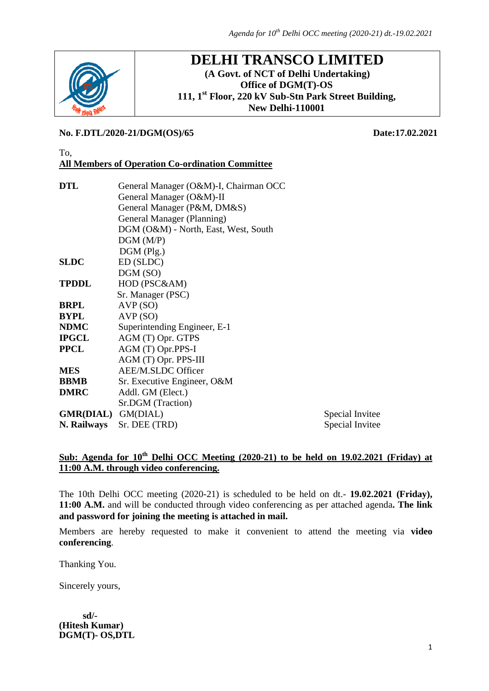

## **DELHI TRANSCO LIMITED (A Govt. of NCT of Delhi Undertaking) Office of DGM(T)-OS 111, 1st Floor, 220 kV Sub-Stn Park Street Building, New Delhi-110001**

### **No. F.DTL/2020-21/DGM(OS)/65 Date:17.02.2021**

#### To, **All Members of Operation Co-ordination Committee**

| DTL                       | General Manager (O&M)-I, Chairman OCC |                 |  |  |  |
|---------------------------|---------------------------------------|-----------------|--|--|--|
|                           | General Manager (O&M)-II              |                 |  |  |  |
|                           | General Manager (P&M, DM&S)           |                 |  |  |  |
|                           | General Manager (Planning)            |                 |  |  |  |
|                           | DGM (O&M) - North, East, West, South  |                 |  |  |  |
|                           | DGM(M/P)                              |                 |  |  |  |
|                           | $DGM$ (Plg.)                          |                 |  |  |  |
| SLDC                      | ED (SLDC)                             |                 |  |  |  |
|                           | DGM(SO)                               |                 |  |  |  |
| TPDDL                     | HOD (PSC&AM)                          |                 |  |  |  |
|                           | Sr. Manager (PSC)                     |                 |  |  |  |
| BRPL                      | AVP(SO)                               |                 |  |  |  |
| BYPL                      | AVP(SO)                               |                 |  |  |  |
| NDMC                      | Superintending Engineer, E-1          |                 |  |  |  |
| IPGCL                     | AGM (T) Opr. GTPS                     |                 |  |  |  |
| PPCL                      | AGM (T) Opr.PPS-I                     |                 |  |  |  |
|                           | AGM (T) Opr. PPS-III                  |                 |  |  |  |
| MES                       | AEE/M.SLDC Officer                    |                 |  |  |  |
| BBMB                      | Sr. Executive Engineer, O&M           |                 |  |  |  |
| <b>DMRC</b>               | Addl. GM (Elect.)                     |                 |  |  |  |
|                           | Sr.DGM (Traction)                     |                 |  |  |  |
| <b>GMR(DIAL)</b> GM(DIAL) |                                       | Special Invitee |  |  |  |
| N. Railways               | Sr. DEE (TRD)                         | Special Invitee |  |  |  |
|                           |                                       |                 |  |  |  |

## **Sub: Agenda for 10th Delhi OCC Meeting (2020-21) to be held on 19.02.2021 (Friday) at 11:00 A.M. through video conferencing.**

The 10th Delhi OCC meeting (2020-21) is scheduled to be held on dt.- **19.02.2021 (Friday), 11:00 A.M.** and will be conducted through video conferencing as per attached agenda**. The link and password for joining the meeting is attached in mail.**

Members are hereby requested to make it convenient to attend the meeting via **video conferencing**.

Thanking You.

Sincerely yours,

 **sd/- (Hitesh Kumar) DGM(T)- OS,DTL**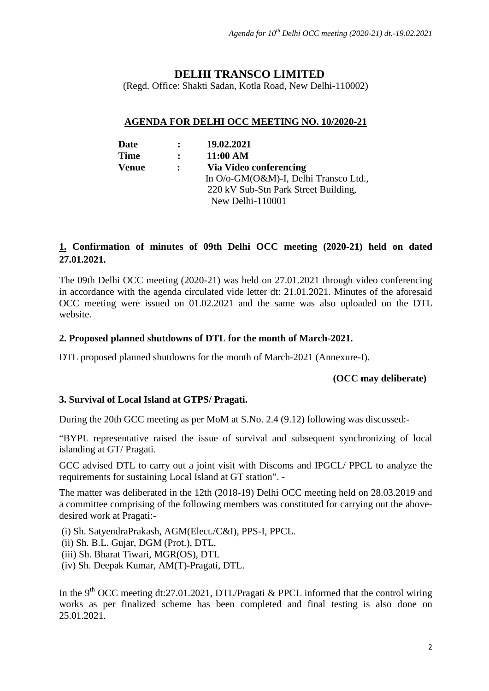# **DELHI TRANSCO LIMITED**

(Regd. Office: Shakti Sadan, Kotla Road, New Delhi-110002)

## **AGENDA FOR DELHI OCC MEETING NO. 10/2020-21**

| Date        | $\mathbf{r}$ | 19.02.2021                            |
|-------------|--------------|---------------------------------------|
| <b>Time</b> | $\mathbf{r}$ | 11:00 AM                              |
| Venue       | $\mathbf{L}$ | Via Video conferencing                |
|             |              | In O/o-GM(O&M)-I, Delhi Transco Ltd., |
|             |              | 220 kV Sub-Stn Park Street Building,  |
|             |              | New Delhi-110001                      |

## **1. Confirmation of minutes of 09th Delhi OCC meeting (2020-21) held on dated 27.01.2021.**

The 09th Delhi OCC meeting (2020-21) was held on 27.01.2021 through video conferencing in accordance with the agenda circulated vide letter dt: 21.01.2021. Minutes of the aforesaid OCC meeting were issued on 01.02.2021 and the same was also uploaded on the DTL website.

## **2. Proposed planned shutdowns of DTL for the month of March-2021.**

DTL proposed planned shutdowns for the month of March-2021 (Annexure-I).

#### **(OCC may deliberate)**

#### **3. Survival of Local Island at GTPS/ Pragati.**

During the 20th GCC meeting as per MoM at S.No. 2.4 (9.12) following was discussed:-

"BYPL representative raised the issue of survival and subsequent synchronizing of local islanding at GT/ Pragati.

GCC advised DTL to carry out a joint visit with Discoms and IPGCL/ PPCL to analyze the requirements for sustaining Local Island at GT station". -

The matter was deliberated in the 12th (2018-19) Delhi OCC meeting held on 28.03.2019 and a committee comprising of the following members was constituted for carrying out the abovedesired work at Pragati:-

(i) Sh. SatyendraPrakash, AGM(Elect./C&I), PPS-I, PPCL. (ii) Sh. B.L. Gujar, DGM (Prot.), DTL. (iii) Sh. Bharat Tiwari, MGR(OS), DTL (iv) Sh. Deepak Kumar, AM(T)-Pragati, DTL.

In the 9<sup>th</sup> OCC meeting dt:27.01.2021, DTL/Pragati & PPCL informed that the control wiring works as per finalized scheme has been completed and final testing is also done on 25.01.2021.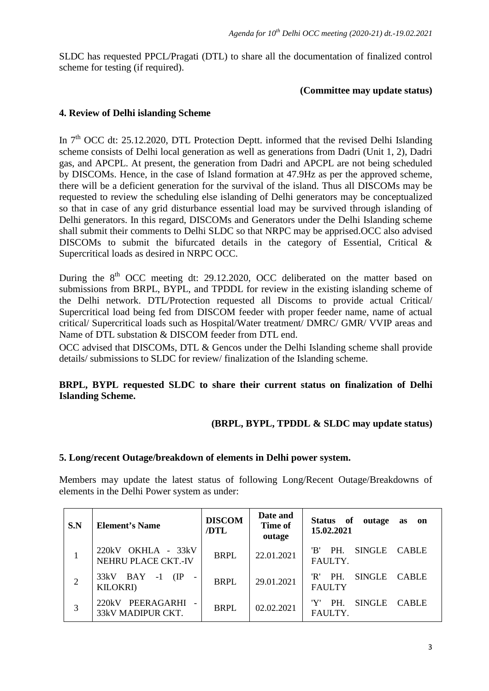SLDC has requested PPCL/Pragati (DTL) to share all the documentation of finalized control scheme for testing (if required).

#### **(Committee may update status)**

### **4. Review of Delhi islanding Scheme**

In  $7<sup>th</sup> OCC$  dt: 25.12.2020, DTL Protection Deptt, informed that the revised Delhi Islanding scheme consists of Delhi local generation as well as generations from Dadri (Unit 1, 2), Dadri gas, and APCPL. At present, the generation from Dadri and APCPL are not being scheduled by DISCOMs. Hence, in the case of Island formation at 47.9Hz as per the approved scheme, there will be a deficient generation for the survival of the island. Thus all DISCOMs may be requested to review the scheduling else islanding of Delhi generators may be conceptualized so that in case of any grid disturbance essential load may be survived through islanding of Delhi generators. In this regard, DISCOMs and Generators under the Delhi Islanding scheme shall submit their comments to Delhi SLDC so that NRPC may be apprised.OCC also advised DISCOMs to submit the bifurcated details in the category of Essential, Critical & Supercritical loads as desired in NRPC OCC.

During the  $8<sup>th</sup>$  OCC meeting dt: 29.12.2020, OCC deliberated on the matter based on submissions from BRPL, BYPL, and TPDDL for review in the existing islanding scheme of the Delhi network. DTL/Protection requested all Discoms to provide actual Critical/ Supercritical load being fed from DISCOM feeder with proper feeder name, name of actual critical/ Supercritical loads such as Hospital/Water treatment/ DMRC/ GMR/ VVIP areas and Name of DTL substation & DISCOM feeder from DTL end.

OCC advised that DISCOMs, DTL & Gencos under the Delhi Islanding scheme shall provide details/ submissions to SLDC for review/ finalization of the Islanding scheme.

## **BRPL, BYPL requested SLDC to share their current status on finalization of Delhi Islanding Scheme.**

## **(BRPL, BYPL, TPDDL & SLDC may update status)**

#### **5. Long/recent Outage/breakdown of elements in Delhi power system.**

Members may update the latest status of following Long/Recent Outage/Breakdowns of elements in the Delhi Power system as under:

| S.N | <b>Element's Name</b>                           | <b>DISCOM</b><br>/DTL | Date and<br>Time of<br>outage | Status of<br>outage<br>as<br>on<br>15.02.2021                |
|-----|-------------------------------------------------|-----------------------|-------------------------------|--------------------------------------------------------------|
|     | $220kV$ OKHLA - $33kV$<br>NEHRU PLACE CKT.-IV   | <b>BRPL</b>           | 22.01.2021                    | PH.<br>'B'<br><b>SINGLE</b><br><b>CABLE</b><br>FAULTY.       |
| 2   | BAY<br>33kV<br>(IP)<br>$-1$<br><b>KILOKRI</b> ) | <b>BRPL</b>           | 29.01.2021                    | 'R'<br>PH.<br><b>SINGLE</b><br><b>CABLE</b><br><b>FAULTY</b> |
| 3   | PEERAGARHI<br>220kV<br>33kV MADIPUR CKT.        | <b>BRPL</b>           | 02.02.2021                    | 'Y'<br><b>SINGLE</b><br>PH.<br><b>CABLE</b><br>FAULTY.       |